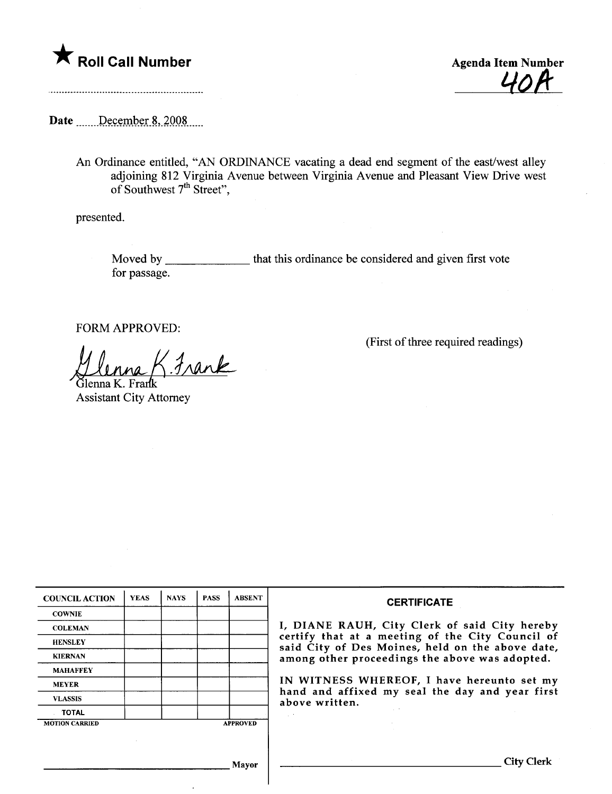



Date December 8, 2008

An Ordinance entitled, "AN ORDINANCE vacating a dead end segment of the east/west alley adjoining 812 Virginia Avenue between Virginia Avenue and Pleasant View Drive west of Southwest 7<sup>th</sup> Street",

presented.

Moved by \_\_\_\_\_\_\_\_\_\_\_\_\_\_\_\_ that this ordinance be considered and given first vote for passage.

FORM APPROVED:

Glenna K. Frank

 $\overline{\phantom{a}}$ 

Assistant City Attorney

(First of three required readings)

| <b>COUNCIL ACTION</b> | <b>YEAS</b> | <b>NAYS</b> | <b>PASS</b> | <b>ABSENT</b>   | <b>CERTIFICATE</b>                                                                                                                                                                                                                                                                                                         |
|-----------------------|-------------|-------------|-------------|-----------------|----------------------------------------------------------------------------------------------------------------------------------------------------------------------------------------------------------------------------------------------------------------------------------------------------------------------------|
| <b>COWNIE</b>         |             |             |             |                 | I, DIANE RAUH, City Clerk of said City hereby<br>certify that at a meeting of the City Council of<br>said City of Des Moines, held on the above date,<br>among other proceedings the above was adopted.<br>IN WITNESS WHEREOF, I have hereunto set my<br>hand and affixed my seal the day and year first<br>above written. |
| <b>COLEMAN</b>        |             |             |             |                 |                                                                                                                                                                                                                                                                                                                            |
| <b>HENSLEY</b>        |             |             |             |                 |                                                                                                                                                                                                                                                                                                                            |
| <b>KIERNAN</b>        |             |             |             |                 |                                                                                                                                                                                                                                                                                                                            |
| <b>MAHAFFEY</b>       |             |             |             |                 |                                                                                                                                                                                                                                                                                                                            |
| <b>MEYER</b>          |             |             |             |                 |                                                                                                                                                                                                                                                                                                                            |
| <b>VLASSIS</b>        |             |             |             |                 |                                                                                                                                                                                                                                                                                                                            |
| <b>TOTAL</b>          |             |             |             |                 |                                                                                                                                                                                                                                                                                                                            |
| <b>MOTION CARRIED</b> |             |             |             | <b>APPROVED</b> |                                                                                                                                                                                                                                                                                                                            |
|                       |             |             |             |                 |                                                                                                                                                                                                                                                                                                                            |
|                       |             |             |             |                 |                                                                                                                                                                                                                                                                                                                            |
| Mayor                 |             |             |             |                 | City                                                                                                                                                                                                                                                                                                                       |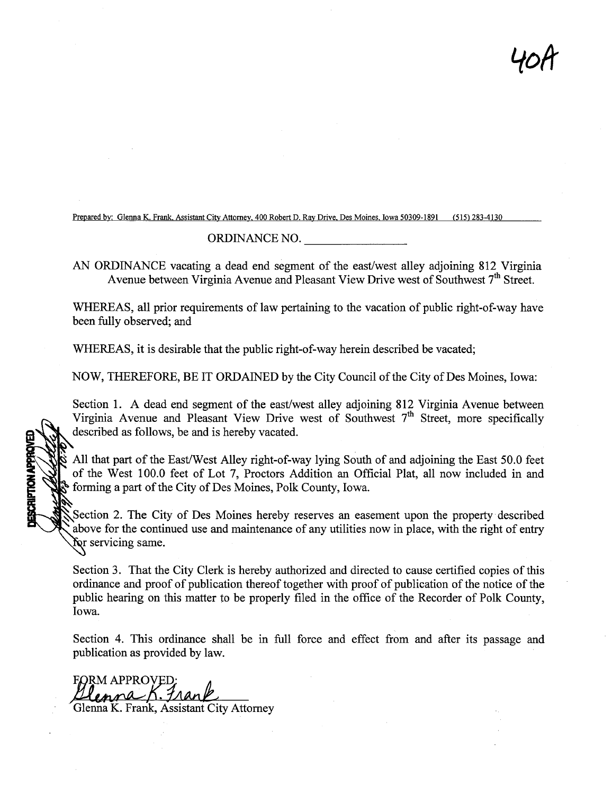40ft

Prepared by: Glenna K. Frank, Assistant City Attorney, 400 Robert D. Ray Drive, Des Moines, Iowa 50309-1891 (515) 283-4130

## ORDINANCE NO.

AN ORDINANCE vacating a dead end segment of the east/west alley adjoining 812 Virginia Avenue between Virginia Avenue and Pleasant View Drive west of Southwest 7<sup>th</sup> Street.

WHEREAS, all prior requirements of law pertaining to the vacation of public right-of-way have been fully observed; and

WHEREAS, it is desirable that the public right-of-way herein described be vacated;

NOW, THEREFORE, BE IT ORDAINED by the City Council of the City of Des Moines, Iowa:

Section 1. A dead end segment of the east/west alley adjoining 812 Virginia Avenue between Virginia Avenue and Pleasant View Drive west of Southwest  $7<sup>th</sup>$  Street, more specifically described as follows, be and is hereby vacated.

All that part of the East/West Alley right-of-way lying South of and adjoining the East 50.0 feet of the West 100.0 feet of Lot 7, Proctors Addition an Official Plat, all now included in and forming a part of the City of Des Moines, Polk County, Iowa.

Section 2. The City of Des Moines hereby reserves an easement upon the property described above for the continued use and maintenance of any utilities now in place, with the right of entry for servicing same.

Section 3. That the City Clerk is hereby authorized and directed to cause certified copies of ths ordinance and proof of publication thereof together with proof of publication of the notice of the public hearing on this matter to be properly filed in the office of the Recorder of Polk County, Iowa.

Section 4. This ordinance shall be in full force and effect from and after its passage and publication as provided by law.

FORM APPROVED:<br>Llenna K. Frank Glenna K. Frank, Assistant City Attorney

**JESCRIPTION APPROVED**